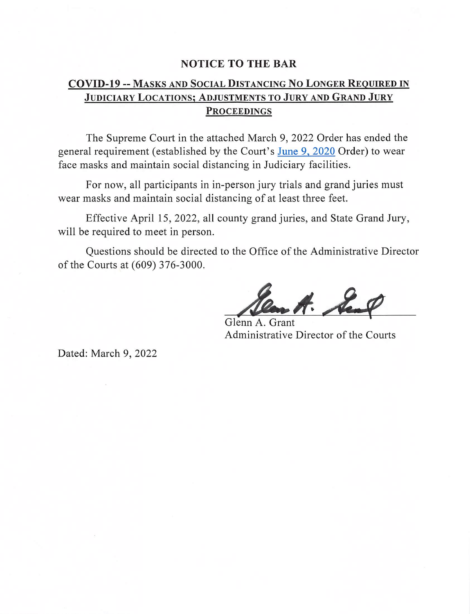## **NOTICE TO THE BAR**

## **COVID-19 -- MASKS AND SOCIAL DISTANCING NO LONGER REQUIRED IN** JUDICIARY LOCATIONS; ADJUSTMENTS TO JURY AND GRAND JURY **PROCEEDINGS**

The Supreme Court in the attached March 9, 2022 Order has ended the general requirement (established by the Court's June 9, 2020 Order) to wear face masks and maintain social distancing in Judiciary facilities.

For now, all participants in in-person jury trials and grand juries must wear masks and maintain social distancing of at least three feet.

Effective April 15, 2022, all county grand juries, and State Grand Jury, will be required to meet in person.

Questions should be directed to the Office of the Administrative Director of the Courts at (609) 376-3000.

A. Seal

Glenn A. Grant Administrative Director of the Courts

Dated: March 9, 2022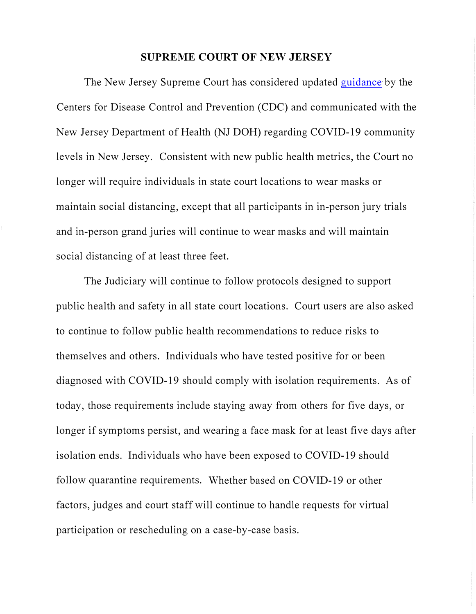## **SUPREME COURT OF NEW JERSEY**

The New Jersey Supreme Court has considered updated [guidance](https://www.cdc.gov/coronavirus/2019-ncov/your-health/covid-by-county.html) by the Centers for Disease Control and Prevention (CDC) and communicated with the New Jersey Department of Health (NJ DOH) regarding COVID-19 community levels in New Jersey. Consistent with new public health metrics, the Court no longer will require individuals in state court locations to wear masks or maintain social distancing, except that all participants in in-person jury trials and in-person grand juries will continue to wear masks and will maintain social distancing of at least three feet.

The Judiciary will continue to follow protocols designed to support public health and safety in all state court locations. Court users are also asked to continue to follow public health recommendations to reduce risks to themselves and others. Individuals who have tested positive for or been diagnosed with COVID-19 should comply with isolation requirements. As of today, those requirements include staying away from others for five days, or longer if symptoms persist, and wearing a face mask for at least five days after isolation ends. Individuals who have been exposed to COVID-19 should follow quarantine requirements. Whether based on COVID-19 or other factors, judges and court staff will continue to handle requests for virtual participation or rescheduling on a case-by-case basis.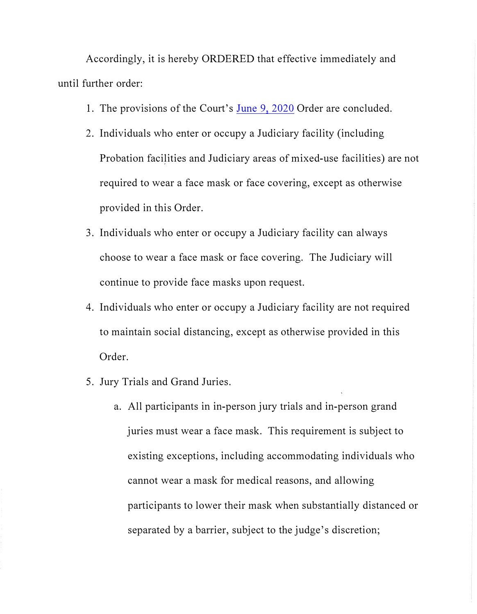Accordingly, it is hereby ORDERED that effective immediately and until further order:

- 1. The provisions of the Court's [June 9, 2020](https://www.njcourts.gov/notices/2020/n200610a.pdf?c=xCa) Order are concluded.
- 2. Individuals who enter or occupy a Judiciary facility (including Probation facilities and Judiciary areas of mixed-use facilities) are not required to wear a face mask or face covering, except as otherwise provided in this Order.
- 3. Individuals who enter or occupy a Judiciary facility can always choose to wear a face mask or face covering. The Judiciary will continue to provide face masks upon request.
- 4. Individuals who enter or occupy a Judiciary facility are not required to maintain social distancing, except as otherwise provided in this Order.
- 5. Jury Trials and Grand Juries.
	- a. All participants in in-person jury trials and in-person grand juries must wear a face mask. This requirement is subject to existing exceptions, including accommodating individuals who cannot wear a mask for medical reasons, and allowing participants to lower their mask when substantially distanced or separated by a barrier, subject to the judge's discretion;